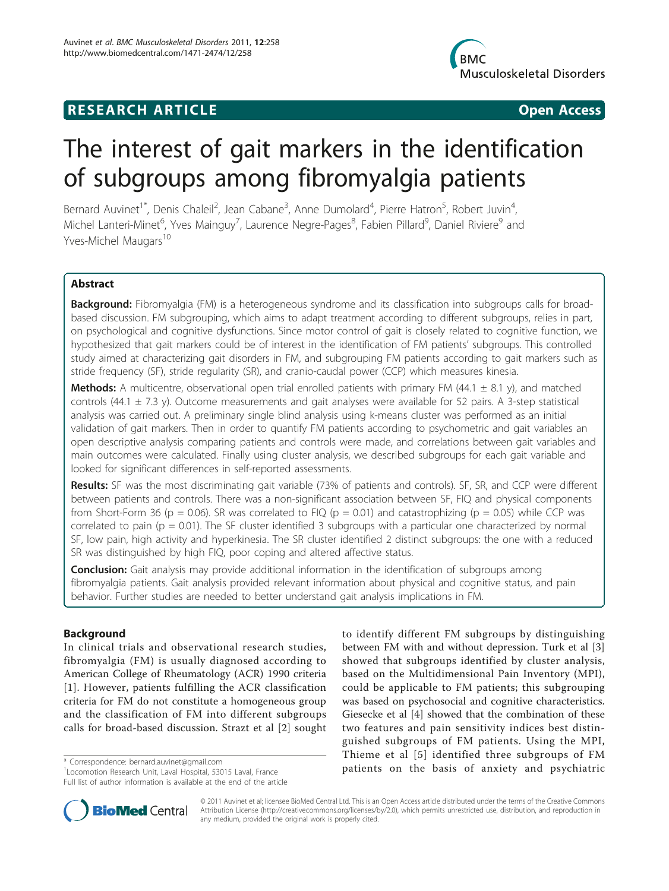# **RESEARCH ARTICLE Example 2018 CONSIDERING ACCESS**



# The interest of gait markers in the identification of subgroups among fibromyalgia patients

Bernard Auvinet<sup>1\*</sup>, Denis Chaleil<sup>2</sup>, Jean Cabane<sup>3</sup>, Anne Dumolard<sup>4</sup>, Pierre Hatron<sup>5</sup>, Robert Juvin<sup>4</sup> , Michel Lanteri-Minet<sup>6</sup>, Yves Mainguy<sup>7</sup>, Laurence Negre-Pages<sup>8</sup>, Fabien Pillard<sup>9</sup>, Daniel Riviere<sup>9</sup> and Yves-Michel Maugars<sup>10</sup>

# Abstract

Background: Fibromyalgia (FM) is a heterogeneous syndrome and its classification into subgroups calls for broadbased discussion. FM subgrouping, which aims to adapt treatment according to different subgroups, relies in part, on psychological and cognitive dysfunctions. Since motor control of gait is closely related to cognitive function, we hypothesized that gait markers could be of interest in the identification of FM patients' subgroups. This controlled study aimed at characterizing gait disorders in FM, and subgrouping FM patients according to gait markers such as stride frequency (SF), stride regularity (SR), and cranio-caudal power (CCP) which measures kinesia.

**Methods:** A multicentre, observational open trial enrolled patients with primary FM (44.1  $\pm$  8.1 y), and matched controls (44.1 ± 7.3 y). Outcome measurements and gait analyses were available for 52 pairs. A 3-step statistical analysis was carried out. A preliminary single blind analysis using k-means cluster was performed as an initial validation of gait markers. Then in order to quantify FM patients according to psychometric and gait variables an open descriptive analysis comparing patients and controls were made, and correlations between gait variables and main outcomes were calculated. Finally using cluster analysis, we described subgroups for each gait variable and looked for significant differences in self-reported assessments.

Results: SF was the most discriminating gait variable (73% of patients and controls). SF, SR, and CCP were different between patients and controls. There was a non-significant association between SF, FIQ and physical components from Short-Form 36 (p = 0.06). SR was correlated to FIQ (p = 0.01) and catastrophizing (p = 0.05) while CCP was correlated to pain ( $p = 0.01$ ). The SF cluster identified 3 subgroups with a particular one characterized by normal SF, low pain, high activity and hyperkinesia. The SR cluster identified 2 distinct subgroups: the one with a reduced SR was distinguished by high FIQ, poor coping and altered affective status.

**Conclusion:** Gait analysis may provide additional information in the identification of subgroups among fibromyalgia patients. Gait analysis provided relevant information about physical and cognitive status, and pain behavior. Further studies are needed to better understand gait analysis implications in FM.

# Background

In clinical trials and observational research studies, fibromyalgia (FM) is usually diagnosed according to American College of Rheumatology (ACR) 1990 criteria [[1](#page-7-0)]. However, patients fulfilling the ACR classification criteria for FM do not constitute a homogeneous group and the classification of FM into different subgroups calls for broad-based discussion. Strazt et al [[2\]](#page-7-0) sought

1 Locomotion Research Unit, Laval Hospital, 53015 Laval, France Full list of author information is available at the end of the article

to identify different FM subgroups by distinguishing between FM with and without depression. Turk et al [[3](#page-7-0)] showed that subgroups identified by cluster analysis, based on the Multidimensional Pain Inventory (MPI), could be applicable to FM patients; this subgrouping was based on psychosocial and cognitive characteristics. Giesecke et al [\[4](#page-7-0)] showed that the combination of these two features and pain sensitivity indices best distinguished subgroups of FM patients. Using the MPI, Thieme et al [[5](#page-7-0)] identified three subgroups of FM \* Correspondence: [bernard.auvinet@gmail.com](mailto:bernard.auvinet@gmail.com)<br><sup>1</sup> Occupation Besearch Unit Laval Hospital 53015 Laval France **bution patients on the basis of anxiety and psychiatric** 



© 2011 Auvinet et al; licensee BioMed Central Ltd. This is an Open Access article distributed under the terms of the Creative Commons Attribution License [\(http://creativecommons.org/licenses/by/2.0](http://creativecommons.org/licenses/by/2.0)), which permits unrestricted use, distribution, and reproduction in any medium, provided the original work is properly cited.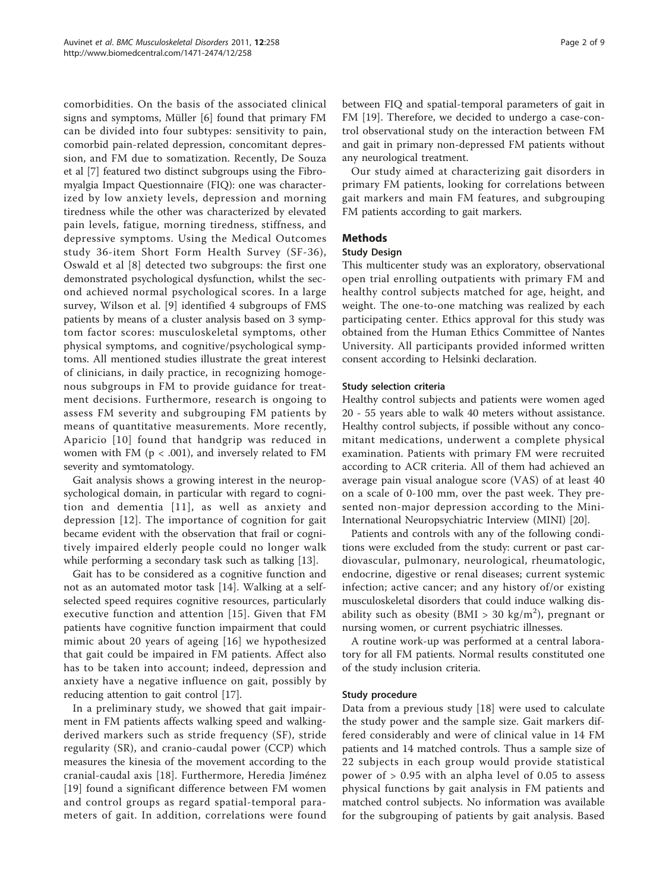comorbidities. On the basis of the associated clinical signs and symptoms, Müller [[6\]](#page-7-0) found that primary FM can be divided into four subtypes: sensitivity to pain, comorbid pain-related depression, concomitant depression, and FM due to somatization. Recently, De Souza et al [[7](#page-7-0)] featured two distinct subgroups using the Fibromyalgia Impact Questionnaire (FIQ): one was characterized by low anxiety levels, depression and morning tiredness while the other was characterized by elevated pain levels, fatigue, morning tiredness, stiffness, and depressive symptoms. Using the Medical Outcomes study 36-item Short Form Health Survey (SF-36), Oswald et al [[8\]](#page-7-0) detected two subgroups: the first one demonstrated psychological dysfunction, whilst the second achieved normal psychological scores. In a large survey, Wilson et al. [[9\]](#page-7-0) identified 4 subgroups of FMS patients by means of a cluster analysis based on 3 symptom factor scores: musculoskeletal symptoms, other physical symptoms, and cognitive/psychological symptoms. All mentioned studies illustrate the great interest of clinicians, in daily practice, in recognizing homogenous subgroups in FM to provide guidance for treatment decisions. Furthermore, research is ongoing to assess FM severity and subgrouping FM patients by means of quantitative measurements. More recently, Aparicio [[10](#page-7-0)] found that handgrip was reduced in women with FM ( $p < .001$ ), and inversely related to FM severity and symtomatology.

Gait analysis shows a growing interest in the neuropsychological domain, in particular with regard to cognition and dementia [[11\]](#page-7-0), as well as anxiety and depression [[12](#page-7-0)]. The importance of cognition for gait became evident with the observation that frail or cognitively impaired elderly people could no longer walk while performing a secondary task such as talking [\[13](#page-7-0)].

Gait has to be considered as a cognitive function and not as an automated motor task [[14](#page-7-0)]. Walking at a selfselected speed requires cognitive resources, particularly executive function and attention [\[15\]](#page-7-0). Given that FM patients have cognitive function impairment that could mimic about 20 years of ageing [[16](#page-7-0)] we hypothesized that gait could be impaired in FM patients. Affect also has to be taken into account; indeed, depression and anxiety have a negative influence on gait, possibly by reducing attention to gait control [\[17](#page-7-0)].

In a preliminary study, we showed that gait impairment in FM patients affects walking speed and walkingderived markers such as stride frequency (SF), stride regularity (SR), and cranio-caudal power (CCP) which measures the kinesia of the movement according to the cranial-caudal axis [\[18](#page-7-0)]. Furthermore, Heredia Jiménez [[19](#page-7-0)] found a significant difference between FM women and control groups as regard spatial-temporal parameters of gait. In addition, correlations were found between FIQ and spatial-temporal parameters of gait in FM [[19\]](#page-7-0). Therefore, we decided to undergo a case-control observational study on the interaction between FM and gait in primary non-depressed FM patients without any neurological treatment.

Our study aimed at characterizing gait disorders in primary FM patients, looking for correlations between gait markers and main FM features, and subgrouping FM patients according to gait markers.

# Methods

# Study Design

This multicenter study was an exploratory, observational open trial enrolling outpatients with primary FM and healthy control subjects matched for age, height, and weight. The one-to-one matching was realized by each participating center. Ethics approval for this study was obtained from the Human Ethics Committee of Nantes University. All participants provided informed written consent according to Helsinki declaration.

# Study selection criteria

Healthy control subjects and patients were women aged 20 - 55 years able to walk 40 meters without assistance. Healthy control subjects, if possible without any concomitant medications, underwent a complete physical examination. Patients with primary FM were recruited according to ACR criteria. All of them had achieved an average pain visual analogue score (VAS) of at least 40 on a scale of 0-100 mm, over the past week. They presented non-major depression according to the Mini-International Neuropsychiatric Interview (MINI) [\[20](#page-7-0)].

Patients and controls with any of the following conditions were excluded from the study: current or past cardiovascular, pulmonary, neurological, rheumatologic, endocrine, digestive or renal diseases; current systemic infection; active cancer; and any history of/or existing musculoskeletal disorders that could induce walking disability such as obesity (BMI > 30 kg/m<sup>2</sup>), pregnant or nursing women, or current psychiatric illnesses.

A routine work-up was performed at a central laboratory for all FM patients. Normal results constituted one of the study inclusion criteria.

#### Study procedure

Data from a previous study [[18\]](#page-7-0) were used to calculate the study power and the sample size. Gait markers differed considerably and were of clinical value in 14 FM patients and 14 matched controls. Thus a sample size of 22 subjects in each group would provide statistical power of > 0.95 with an alpha level of 0.05 to assess physical functions by gait analysis in FM patients and matched control subjects. No information was available for the subgrouping of patients by gait analysis. Based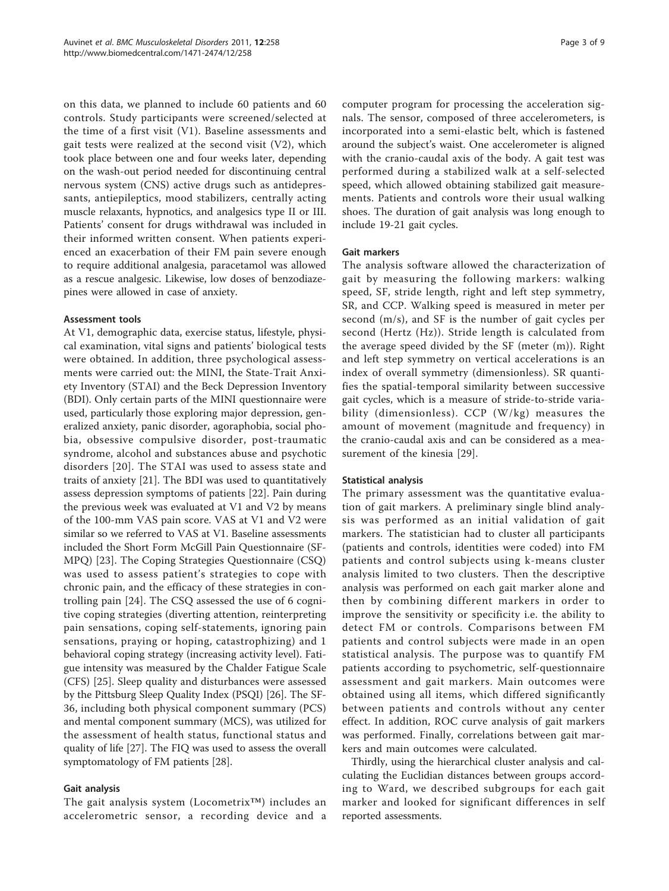on this data, we planned to include 60 patients and 60 controls. Study participants were screened/selected at the time of a first visit (V1). Baseline assessments and gait tests were realized at the second visit (V2), which took place between one and four weeks later, depending on the wash-out period needed for discontinuing central nervous system (CNS) active drugs such as antidepressants, antiepileptics, mood stabilizers, centrally acting muscle relaxants, hypnotics, and analgesics type II or III. Patients' consent for drugs withdrawal was included in their informed written consent. When patients experienced an exacerbation of their FM pain severe enough to require additional analgesia, paracetamol was allowed as a rescue analgesic. Likewise, low doses of benzodiazepines were allowed in case of anxiety.

# Assessment tools

At V1, demographic data, exercise status, lifestyle, physical examination, vital signs and patients' biological tests were obtained. In addition, three psychological assessments were carried out: the MINI, the State-Trait Anxiety Inventory (STAI) and the Beck Depression Inventory (BDI). Only certain parts of the MINI questionnaire were used, particularly those exploring major depression, generalized anxiety, panic disorder, agoraphobia, social phobia, obsessive compulsive disorder, post-traumatic syndrome, alcohol and substances abuse and psychotic disorders [[20\]](#page-7-0). The STAI was used to assess state and traits of anxiety [\[21\]](#page-7-0). The BDI was used to quantitatively assess depression symptoms of patients [[22](#page-7-0)]. Pain during the previous week was evaluated at V1 and V2 by means of the 100-mm VAS pain score. VAS at V1 and V2 were similar so we referred to VAS at V1. Baseline assessments included the Short Form McGill Pain Questionnaire (SF-MPQ) [[23\]](#page-7-0). The Coping Strategies Questionnaire (CSQ) was used to assess patient's strategies to cope with chronic pain, and the efficacy of these strategies in controlling pain [[24\]](#page-7-0). The CSQ assessed the use of 6 cognitive coping strategies (diverting attention, reinterpreting pain sensations, coping self-statements, ignoring pain sensations, praying or hoping, catastrophizing) and 1 behavioral coping strategy (increasing activity level). Fatigue intensity was measured by the Chalder Fatigue Scale (CFS) [\[25](#page-7-0)]. Sleep quality and disturbances were assessed by the Pittsburg Sleep Quality Index (PSQI) [\[26\]](#page-7-0). The SF-36, including both physical component summary (PCS) and mental component summary (MCS), was utilized for the assessment of health status, functional status and quality of life [[27\]](#page-8-0). The FIQ was used to assess the overall symptomatology of FM patients [[28\]](#page-8-0).

#### Gait analysis

The gait analysis system (Locometrix™) includes an accelerometric sensor, a recording device and a computer program for processing the acceleration signals. The sensor, composed of three accelerometers, is incorporated into a semi-elastic belt, which is fastened around the subject's waist. One accelerometer is aligned with the cranio-caudal axis of the body. A gait test was performed during a stabilized walk at a self-selected speed, which allowed obtaining stabilized gait measurements. Patients and controls wore their usual walking shoes. The duration of gait analysis was long enough to include 19-21 gait cycles.

# Gait markers

The analysis software allowed the characterization of gait by measuring the following markers: walking speed, SF, stride length, right and left step symmetry, SR, and CCP. Walking speed is measured in meter per second (m/s), and SF is the number of gait cycles per second (Hertz (Hz)). Stride length is calculated from the average speed divided by the SF (meter (m)). Right and left step symmetry on vertical accelerations is an index of overall symmetry (dimensionless). SR quantifies the spatial-temporal similarity between successive gait cycles, which is a measure of stride-to-stride variability (dimensionless). CCP (W/kg) measures the amount of movement (magnitude and frequency) in the cranio-caudal axis and can be considered as a measurement of the kinesia [\[29](#page-8-0)].

#### Statistical analysis

The primary assessment was the quantitative evaluation of gait markers. A preliminary single blind analysis was performed as an initial validation of gait markers. The statistician had to cluster all participants (patients and controls, identities were coded) into FM patients and control subjects using k-means cluster analysis limited to two clusters. Then the descriptive analysis was performed on each gait marker alone and then by combining different markers in order to improve the sensitivity or specificity i.e. the ability to detect FM or controls. Comparisons between FM patients and control subjects were made in an open statistical analysis. The purpose was to quantify FM patients according to psychometric, self-questionnaire assessment and gait markers. Main outcomes were obtained using all items, which differed significantly between patients and controls without any center effect. In addition, ROC curve analysis of gait markers was performed. Finally, correlations between gait markers and main outcomes were calculated.

Thirdly, using the hierarchical cluster analysis and calculating the Euclidian distances between groups according to Ward, we described subgroups for each gait marker and looked for significant differences in self reported assessments.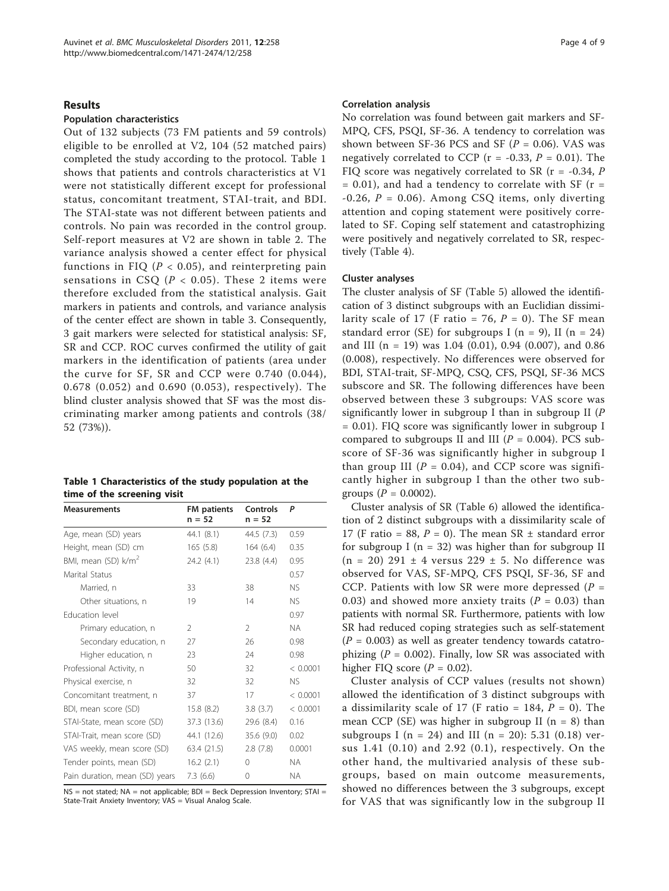#### Results

#### Population characteristics

Out of 132 subjects (73 FM patients and 59 controls) eligible to be enrolled at V2, 104 (52 matched pairs) completed the study according to the protocol. Table 1 shows that patients and controls characteristics at V1 were not statistically different except for professional status, concomitant treatment, STAI-trait, and BDI. The STAI-state was not different between patients and controls. No pain was recorded in the control group. Self-report measures at V2 are shown in table [2.](#page-4-0) The variance analysis showed a center effect for physical functions in FIQ ( $P < 0.05$ ), and reinterpreting pain sensations in CSQ ( $P < 0.05$ ). These 2 items were therefore excluded from the statistical analysis. Gait markers in patients and controls, and variance analysis of the center effect are shown in table [3](#page-4-0). Consequently, 3 gait markers were selected for statistical analysis: SF, SR and CCP. ROC curves confirmed the utility of gait markers in the identification of patients (area under the curve for SF, SR and CCP were 0.740 (0.044), 0.678 (0.052) and 0.690 (0.053), respectively). The blind cluster analysis showed that SF was the most discriminating marker among patients and controls (38/ 52 (73%)).

| Table 1 Characteristics of the study population at the |  |
|--------------------------------------------------------|--|
| time of the screening visit                            |  |

| <b>Measurements</b>             | <b>FM</b> patients<br>$n = 52$ | Controls<br>$n = 52$ | P         |
|---------------------------------|--------------------------------|----------------------|-----------|
| Age, mean (SD) years            | 44.1 (8.1)                     | 44.5 (7.3)           | 0.59      |
| Height, mean (SD) cm            | 165(5.8)                       | 164(6.4)             | 0.35      |
| BMI, mean (SD) k/m <sup>2</sup> | 24.2(4.1)                      | 23.8(4.4)            | 0.95      |
| Marital Status                  |                                |                      | 0.57      |
| Married, n                      | 33                             | 38                   | <b>NS</b> |
| Other situations, n             | 19                             | 14                   | <b>NS</b> |
| <b>Education level</b>          |                                |                      | 0.97      |
| Primary education, n            | $\mathcal{P}$                  | 2                    | <b>NA</b> |
| Secondary education, n          | 27                             | 26                   | 0.98      |
| Higher education, n             | 23                             | 24                   | 0.98      |
| Professional Activity, n        | 50                             | 32                   | < 0.0001  |
| Physical exercise, n            | 32                             | 32                   | <b>NS</b> |
| Concomitant treatment, n        | 37                             | 17                   | < 0.0001  |
| BDI, mean score (SD)            | 15.8(8.2)                      | 3.8(3.7)             | < 0.0001  |
| STAI-State, mean score (SD)     | 37.3 (13.6)                    | 29.6(8.4)            | 0.16      |
| STAI-Trait, mean score (SD)     | 44.1 (12.6)                    | 35.6(9.0)            | 0.02      |
| VAS weekly, mean score (SD)     | 63.4 (21.5)                    | 2.8(7.8)             | 0.0001    |
| Tender points, mean (SD)        | 16.2(2.1)                      | 0                    | <b>NA</b> |
| Pain duration, mean (SD) years  | 7.3(6.6)                       | 0                    | ΝA        |

NS = not stated; NA = not applicable; BDI = Beck Depression Inventory; STAI = State-Trait Anxiety Inventory; VAS = Visual Analog Scale

#### Correlation analysis

No correlation was found between gait markers and SF-MPQ, CFS, PSQI, SF-36. A tendency to correlation was shown between SF-36 PCS and SF ( $P = 0.06$ ). VAS was negatively correlated to CCP ( $r = -0.33$ ,  $P = 0.01$ ). The FIQ score was negatively correlated to SR ( $r = -0.34$ , P  $= 0.01$ ), and had a tendency to correlate with SF ( $r =$  $-0.26$ ,  $P = 0.06$ ). Among CSQ items, only diverting attention and coping statement were positively correlated to SF. Coping self statement and catastrophizing were positively and negatively correlated to SR, respectively (Table [4\)](#page-5-0).

#### Cluster analyses

The cluster analysis of SF (Table [5\)](#page-5-0) allowed the identification of 3 distinct subgroups with an Euclidian dissimilarity scale of 17 (F ratio = 76,  $P = 0$ ). The SF mean standard error (SE) for subgroups I ( $n = 9$ ), II ( $n = 24$ ) and III (n = 19) was 1.04 (0.01), 0.94 (0.007), and 0.86 (0.008), respectively. No differences were observed for BDI, STAI-trait, SF-MPQ, CSQ, CFS, PSQI, SF-36 MCS subscore and SR. The following differences have been observed between these 3 subgroups: VAS score was significantly lower in subgroup I than in subgroup II ( $P$ = 0.01). FIQ score was significantly lower in subgroup I compared to subgroups II and III ( $P = 0.004$ ). PCS subscore of SF-36 was significantly higher in subgroup I than group III ( $P = 0.04$ ), and CCP score was significantly higher in subgroup I than the other two subgroups ( $P = 0.0002$ ).

Cluster analysis of SR (Table [6](#page-6-0)) allowed the identification of 2 distinct subgroups with a dissimilarity scale of 17 (F ratio = 88,  $P = 0$ ). The mean SR  $\pm$  standard error for subgroup I ( $n = 32$ ) was higher than for subgroup II  $(n = 20)$  291  $\pm$  4 versus 229  $\pm$  5. No difference was observed for VAS, SF-MPQ, CFS PSQI, SF-36, SF and CCP. Patients with low SR were more depressed ( $P =$ 0.03) and showed more anxiety traits ( $P = 0.03$ ) than patients with normal SR. Furthermore, patients with low SR had reduced coping strategies such as self-statement  $(P = 0.003)$  as well as greater tendency towards catatrophizing ( $P = 0.002$ ). Finally, low SR was associated with higher FIQ score  $(P = 0.02)$ .

Cluster analysis of CCP values (results not shown) allowed the identification of 3 distinct subgroups with a dissimilarity scale of 17 (F ratio = 184,  $P = 0$ ). The mean CCP (SE) was higher in subgroup II ( $n = 8$ ) than subgroups I (n = 24) and III (n = 20): 5.31 (0.18) versus 1.41 (0.10) and 2.92 (0.1), respectively. On the other hand, the multivaried analysis of these subgroups, based on main outcome measurements, showed no differences between the 3 subgroups, except for VAS that was significantly low in the subgroup II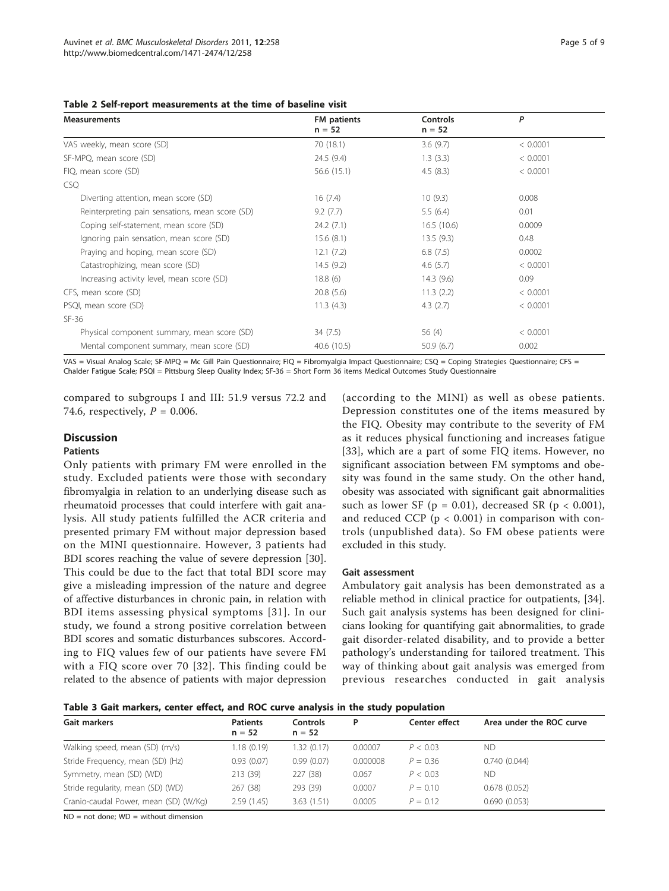<span id="page-4-0"></span>

|  | Table 2 Self-report measurements at the time of baseline visit |  |  |  |  |
|--|----------------------------------------------------------------|--|--|--|--|
|--|----------------------------------------------------------------|--|--|--|--|

| <b>Measurements</b>                             | FM patients | <b>Controls</b> | P        |
|-------------------------------------------------|-------------|-----------------|----------|
|                                                 | $n = 52$    | $n = 52$        |          |
| VAS weekly, mean score (SD)                     | 70 (18.1)   | 3.6(9.7)        | < 0.0001 |
| SF-MPQ, mean score (SD)                         | 24.5(9.4)   | 1.3(3.3)        | < 0.0001 |
| FIQ, mean score (SD)                            | 56.6(15.1)  | 4.5(8.3)        | < 0.0001 |
| <b>CSQ</b>                                      |             |                 |          |
| Diverting attention, mean score (SD)            | 16(7.4)     | 10(9.3)         | 0.008    |
| Reinterpreting pain sensations, mean score (SD) | 9.2(7.7)    | 5.5(6.4)        | 0.01     |
| Coping self-statement, mean score (SD)          | 24.2(7.1)   | 16.5(10.6)      | 0.0009   |
| Ignoring pain sensation, mean score (SD)        | 15.6(8.1)   | 13.5(9.3)       | 0.48     |
| Praying and hoping, mean score (SD)             | 12.1(7.2)   | 6.8(7.5)        | 0.0002   |
| Catastrophizing, mean score (SD)                | 14.5(9.2)   | 4.6 $(5.7)$     | < 0.0001 |
| Increasing activity level, mean score (SD)      | 18.8(6)     | 14.3(9.6)       | 0.09     |
| CFS, mean score (SD)                            | 20.8(5.6)   | 11.3(2.2)       | < 0.0001 |
| PSQI, mean score (SD)                           | 11.3(4.3)   | 4.3 $(2.7)$     | < 0.0001 |
| $SF-36$                                         |             |                 |          |
| Physical component summary, mean score (SD)     | 34(7.5)     | 56 (4)          | < 0.0001 |
| Mental component summary, mean score (SD)       | 40.6(10.5)  | 50.9(6.7)       | 0.002    |

VAS = Visual Analog Scale; SF-MPQ = Mc Gill Pain Questionnaire; FIQ = Fibromyalgia Impact Questionnaire; CSQ = Coping Strategies Questionnaire; CFS = Chalder Fatigue Scale; PSQI = Pittsburg Sleep Quality Index; SF-36 = Short Form 36 items Medical Outcomes Study Questionnaire

compared to subgroups I and III: 51.9 versus 72.2 and 74.6, respectively,  $P = 0.006$ .

# **Discussion**

#### Patients

Only patients with primary FM were enrolled in the study. Excluded patients were those with secondary fibromyalgia in relation to an underlying disease such as rheumatoid processes that could interfere with gait analysis. All study patients fulfilled the ACR criteria and presented primary FM without major depression based on the MINI questionnaire. However, 3 patients had BDI scores reaching the value of severe depression [\[30](#page-8-0)]. This could be due to the fact that total BDI score may give a misleading impression of the nature and degree of affective disturbances in chronic pain, in relation with BDI items assessing physical symptoms [[31\]](#page-8-0). In our study, we found a strong positive correlation between BDI scores and somatic disturbances subscores. According to FIQ values few of our patients have severe FM with a FIQ score over 70 [[32\]](#page-8-0). This finding could be related to the absence of patients with major depression (according to the MINI) as well as obese patients. Depression constitutes one of the items measured by the FIQ. Obesity may contribute to the severity of FM as it reduces physical functioning and increases fatigue [[33](#page-8-0)], which are a part of some FIQ items. However, no significant association between FM symptoms and obesity was found in the same study. On the other hand, obesity was associated with significant gait abnormalities such as lower SF ( $p = 0.01$ ), decreased SR ( $p < 0.001$ ), and reduced CCP ( $p < 0.001$ ) in comparison with controls (unpublished data). So FM obese patients were excluded in this study.

#### Gait assessment

Ambulatory gait analysis has been demonstrated as a reliable method in clinical practice for outpatients, [\[34](#page-8-0)]. Such gait analysis systems has been designed for clinicians looking for quantifying gait abnormalities, to grade gait disorder-related disability, and to provide a better pathology's understanding for tailored treatment. This way of thinking about gait analysis was emerged from previous researches conducted in gait analysis

Table 3 Gait markers, center effect, and ROC curve analysis in the study population

| Gait markers                          | <b>Patients</b><br>$n = 52$ | Controls<br>$n = 52$ | P        | Center effect | Area under the ROC curve |
|---------------------------------------|-----------------------------|----------------------|----------|---------------|--------------------------|
| Walking speed, mean (SD) (m/s)        | 1.18 (0.19)                 | 1.32(0.17)           | 0.00007  | P < 0.03      | ND.                      |
| Stride Frequency, mean (SD) (Hz)      | 0.93(0.07)                  | 0.99(0.07)           | 0.000008 | $P = 0.36$    | 0.740(0.044)             |
| Symmetry, mean (SD) (WD)              | 213 (39)                    | 227 (38)             | 0.067    | P < 0.03      | ND.                      |
| Stride regularity, mean (SD) (WD)     | 267 (38)                    | 293 (39)             | 0.0007   | $P = 0.10$    | 0.678(0.052)             |
| Cranio-caudal Power, mean (SD) (W/Kg) | 2.59(1.45)                  | 3.63(1.51)           | 0.0005   | $P = 0.12$    | 0.690(0.053)             |

 $ND = not done$ :  $WD = without dimension$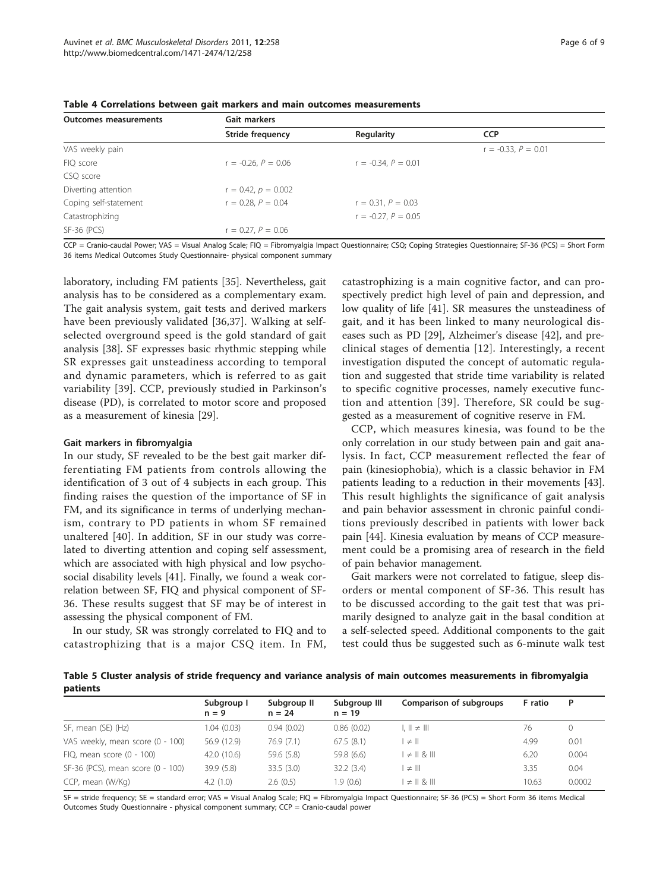| <b>Outcomes measurements</b> | Gait markers             |                          |                          |  |  |  |
|------------------------------|--------------------------|--------------------------|--------------------------|--|--|--|
|                              | Stride frequency         | Regularity               | <b>CCP</b>               |  |  |  |
| VAS weekly pain              |                          |                          | $r = -0.33$ , $P = 0.01$ |  |  |  |
| FIQ score                    | $r = -0.26$ , $P = 0.06$ | $r = -0.34$ , $P = 0.01$ |                          |  |  |  |
| CSQ score                    |                          |                          |                          |  |  |  |
| Diverting attention          | $r = 0.42$ , $p = 0.002$ |                          |                          |  |  |  |
| Coping self-statement        | $r = 0.28$ , $P = 0.04$  | $r = 0.31, P = 0.03$     |                          |  |  |  |
| Catastrophizing              |                          | $r = -0.27$ , $P = 0.05$ |                          |  |  |  |
| SF-36 (PCS)                  | $r = 0.27$ , $P = 0.06$  |                          |                          |  |  |  |

<span id="page-5-0"></span>Table 4 Correlations between gait markers and main outcomes measurements

CCP = Cranio-caudal Power; VAS = Visual Analog Scale; FIQ = Fibromyalgia Impact Questionnaire; CSQ; Coping Strategies Questionnaire; SF-36 (PCS) = Short Form 36 items Medical Outcomes Study Questionnaire- physical component summary

laboratory, including FM patients [\[35](#page-8-0)]. Nevertheless, gait analysis has to be considered as a complementary exam. The gait analysis system, gait tests and derived markers have been previously validated [[36,37](#page-8-0)]. Walking at selfselected overground speed is the gold standard of gait analysis [\[38](#page-8-0)]. SF expresses basic rhythmic stepping while SR expresses gait unsteadiness according to temporal and dynamic parameters, which is referred to as gait variability [\[39](#page-8-0)]. CCP, previously studied in Parkinson's disease (PD), is correlated to motor score and proposed as a measurement of kinesia [\[29](#page-8-0)].

#### Gait markers in fibromyalgia

In our study, SF revealed to be the best gait marker differentiating FM patients from controls allowing the identification of 3 out of 4 subjects in each group. This finding raises the question of the importance of SF in FM, and its significance in terms of underlying mechanism, contrary to PD patients in whom SF remained unaltered [[40\]](#page-8-0). In addition, SF in our study was correlated to diverting attention and coping self assessment, which are associated with high physical and low psychosocial disability levels [\[41](#page-8-0)]. Finally, we found a weak correlation between SF, FIQ and physical component of SF-36. These results suggest that SF may be of interest in assessing the physical component of FM.

In our study, SR was strongly correlated to FIQ and to catastrophizing that is a major CSQ item. In FM, catastrophizing is a main cognitive factor, and can prospectively predict high level of pain and depression, and low quality of life [\[41](#page-8-0)]. SR measures the unsteadiness of gait, and it has been linked to many neurological diseases such as PD [\[29\]](#page-8-0), Alzheimer's disease [\[42](#page-8-0)], and preclinical stages of dementia [\[12\]](#page-7-0). Interestingly, a recent investigation disputed the concept of automatic regulation and suggested that stride time variability is related to specific cognitive processes, namely executive function and attention [[39](#page-8-0)]. Therefore, SR could be suggested as a measurement of cognitive reserve in FM.

CCP, which measures kinesia, was found to be the only correlation in our study between pain and gait analysis. In fact, CCP measurement reflected the fear of pain (kinesiophobia), which is a classic behavior in FM patients leading to a reduction in their movements [\[43](#page-8-0)]. This result highlights the significance of gait analysis and pain behavior assessment in chronic painful conditions previously described in patients with lower back pain [[44\]](#page-8-0). Kinesia evaluation by means of CCP measurement could be a promising area of research in the field of pain behavior management.

Gait markers were not correlated to fatigue, sleep disorders or mental component of SF-36. This result has to be discussed according to the gait test that was primarily designed to analyze gait in the basal condition at a self-selected speed. Additional components to the gait test could thus be suggested such as 6-minute walk test

Table 5 Cluster analysis of stride frequency and variance analysis of main outcomes measurements in fibromyalgia patients

|                                   | Subgroup I<br>$n = 9$ | Subgroup II<br>$n = 24$ | Subgroup III<br>$n = 19$ | Comparison of subgroups                          | F ratio | P      |
|-----------------------------------|-----------------------|-------------------------|--------------------------|--------------------------------------------------|---------|--------|
| SF, mean (SE) (Hz)                | 1.04(0.03)            | 0.94(0.02)              | 0.86(0.02)               | $\parallel \ \parallel \neq \parallel \parallel$ | 76      |        |
| VAS weekly, mean score (0 - 100)  | 56.9 (12.9)           | 76.9(7.1)               | 67.5(8.1)                | $\neq$ II                                        | 4.99    | 0.01   |
| $FIQ$ , mean score $(0 - 100)$    | 42.0 (10.6)           | 59.6 (5.8)              | 59.8 (6.6)               | $\vert \neq \vert \vert \& \vert \vert \vert$    | 6.20    | 0.004  |
| SF-36 (PCS), mean score (0 - 100) | 39.9 (5.8)            | 33.5(3.0)               | 32.2(3.4)                | $\neq$ III                                       | 3.35    | 0.04   |
| CCP, mean (W/Kg)                  | 4.2(1.0)              | 2.6(0.5)                | 1.9(0.6)                 | $\vert \neq \vert \vert \& \vert \vert \vert$    | 10.63   | 0.0002 |

SF = stride frequency; SE = standard error; VAS = Visual Analog Scale; FIQ = Fibromyalgia Impact Questionnaire; SF-36 (PCS) = Short Form 36 items Medical Outcomes Study Questionnaire - physical component summary; CCP = Cranio-caudal power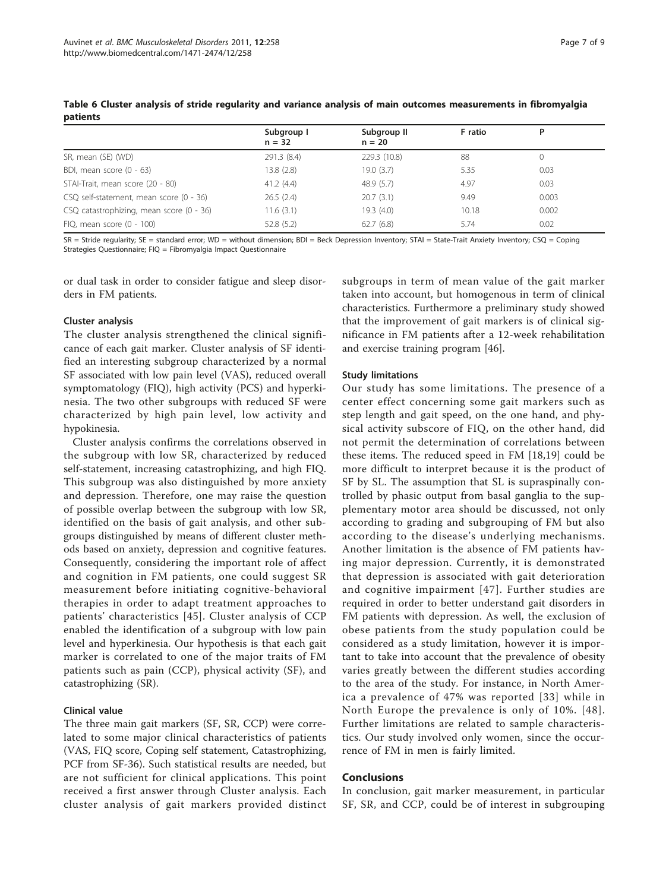|                                          | Subgroup I<br>$n = 32$ | Subgroup II<br>$n = 20$ | F ratio | P     |
|------------------------------------------|------------------------|-------------------------|---------|-------|
| SR, mean (SE) (WD)                       | 291.3 (8.4)            | 229.3 (10.8)            | 88      | 0     |
| BDI, mean score (0 - 63)                 | 13.8(2.8)              | 19.0(3.7)               | 5.35    | 0.03  |
| STAI-Trait, mean score (20 - 80)         | 41.2(4.4)              | 48.9(5.7)               | 4.97    | 0.03  |
| CSQ self-statement, mean score (0 - 36)  | 26.5(2.4)              | 20.7(3.1)               | 9.49    | 0.003 |
| CSQ catastrophizing, mean score (0 - 36) | 11.6(3.1)              | 19.3(4.0)               | 10.18   | 0.002 |
| FIQ, mean score $(0 - 100)$              | 52.8(5.2)              | 62.7(6.8)               | 5.74    | 0.02  |

<span id="page-6-0"></span>Table 6 Cluster analysis of stride regularity and variance analysis of main outcomes measurements in fibromyalgia patients

SR = Stride regularity; SE = standard error; WD = without dimension; BDI = Beck Depression Inventory; STAI = State-Trait Anxiety Inventory; CSQ = Coping Strategies Questionnaire; FIQ = Fibromyalgia Impact Questionnaire

or dual task in order to consider fatigue and sleep disorders in FM patients.

#### Cluster analysis

The cluster analysis strengthened the clinical significance of each gait marker. Cluster analysis of SF identified an interesting subgroup characterized by a normal SF associated with low pain level (VAS), reduced overall symptomatology (FIQ), high activity (PCS) and hyperkinesia. The two other subgroups with reduced SF were characterized by high pain level, low activity and hypokinesia.

Cluster analysis confirms the correlations observed in the subgroup with low SR, characterized by reduced self-statement, increasing catastrophizing, and high FIQ. This subgroup was also distinguished by more anxiety and depression. Therefore, one may raise the question of possible overlap between the subgroup with low SR, identified on the basis of gait analysis, and other subgroups distinguished by means of different cluster methods based on anxiety, depression and cognitive features. Consequently, considering the important role of affect and cognition in FM patients, one could suggest SR measurement before initiating cognitive-behavioral therapies in order to adapt treatment approaches to patients' characteristics [[45\]](#page-8-0). Cluster analysis of CCP enabled the identification of a subgroup with low pain level and hyperkinesia. Our hypothesis is that each gait marker is correlated to one of the major traits of FM patients such as pain (CCP), physical activity (SF), and catastrophizing (SR).

# Clinical value

The three main gait markers (SF, SR, CCP) were correlated to some major clinical characteristics of patients (VAS, FIQ score, Coping self statement, Catastrophizing, PCF from SF-36). Such statistical results are needed, but are not sufficient for clinical applications. This point received a first answer through Cluster analysis. Each cluster analysis of gait markers provided distinct

subgroups in term of mean value of the gait marker taken into account, but homogenous in term of clinical characteristics. Furthermore a preliminary study showed that the improvement of gait markers is of clinical significance in FM patients after a 12-week rehabilitation and exercise training program [[46](#page-8-0)].

# Study limitations

Our study has some limitations. The presence of a center effect concerning some gait markers such as step length and gait speed, on the one hand, and physical activity subscore of FIQ, on the other hand, did not permit the determination of correlations between these items. The reduced speed in FM [[18,19\]](#page-7-0) could be more difficult to interpret because it is the product of SF by SL. The assumption that SL is supraspinally controlled by phasic output from basal ganglia to the supplementary motor area should be discussed, not only according to grading and subgrouping of FM but also according to the disease's underlying mechanisms. Another limitation is the absence of FM patients having major depression. Currently, it is demonstrated that depression is associated with gait deterioration and cognitive impairment [[47](#page-8-0)]. Further studies are required in order to better understand gait disorders in FM patients with depression. As well, the exclusion of obese patients from the study population could be considered as a study limitation, however it is important to take into account that the prevalence of obesity varies greatly between the different studies according to the area of the study. For instance, in North America a prevalence of 47% was reported [[33\]](#page-8-0) while in North Europe the prevalence is only of 10%. [[48\]](#page-8-0). Further limitations are related to sample characteristics. Our study involved only women, since the occurrence of FM in men is fairly limited.

# Conclusions

In conclusion, gait marker measurement, in particular SF, SR, and CCP, could be of interest in subgrouping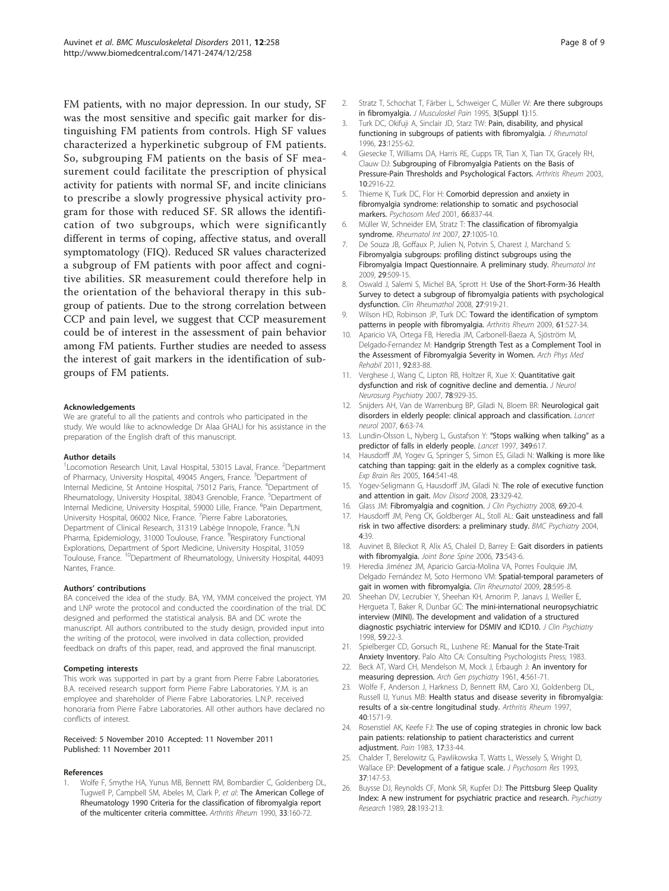<span id="page-7-0"></span>FM patients, with no major depression. In our study, SF was the most sensitive and specific gait marker for distinguishing FM patients from controls. High SF values characterized a hyperkinetic subgroup of FM patients. So, subgrouping FM patients on the basis of SF measurement could facilitate the prescription of physical activity for patients with normal SF, and incite clinicians to prescribe a slowly progressive physical activity program for those with reduced SF. SR allows the identification of two subgroups, which were significantly different in terms of coping, affective status, and overall symptomatology (FIQ). Reduced SR values characterized a subgroup of FM patients with poor affect and cognitive abilities. SR measurement could therefore help in the orientation of the behavioral therapy in this subgroup of patients. Due to the strong correlation between CCP and pain level, we suggest that CCP measurement could be of interest in the assessment of pain behavior among FM patients. Further studies are needed to assess the interest of gait markers in the identification of subgroups of FM patients.

#### Acknowledgements

We are grateful to all the patients and controls who participated in the study. We would like to acknowledge Dr Alaa GHALI for his assistance in the preparation of the English draft of this manuscript.

#### Author details

<sup>1</sup> Locomotion Research Unit, Laval Hospital, 53015 Laval, France. <sup>2</sup>Department of Pharmacy, University Hospital, 49045 Angers, France. <sup>3</sup>Department of Internal Medicine, St Antoine Hospital, 75012 Paris, France. <sup>4</sup>Department of Rheumatology, University Hospital, 38043 Grenoble, France. <sup>5</sup>Department of Internal Medicine, University Hospital, 59000 Lille, France. <sup>6</sup>Pain Department, University Hospital, 06002 Nice, France. <sup>7</sup> Pierre Fabre Laboratories, Department of Clinical Research, 31319 Labège Innopole, France. <sup>8</sup>LN Pharma, Epidemiology, 31000 Toulouse, France. <sup>9</sup>Respiratory Functional Explorations, Department of Sport Medicine, University Hospital, 31059 Toulouse, France. <sup>10</sup>Department of Rheumatology, University Hospital, 44093 Nantes, France.

#### Authors' contributions

BA conceived the idea of the study. BA, YM, YMM conceived the project. YM and LNP wrote the protocol and conducted the coordination of the trial. DC designed and performed the statistical analysis. BA and DC wrote the manuscript. All authors contributed to the study design, provided input into the writing of the protocol, were involved in data collection, provided feedback on drafts of this paper, read, and approved the final manuscript.

#### Competing interests

This work was supported in part by a grant from Pierre Fabre Laboratories. B.A. received research support form Pierre Fabre Laboratories. Y.M. is an employee and shareholder of Pierre Fabre Laboratories. L.N.P. received honoraria from Pierre Fabre Laboratories. All other authors have declared no conflicts of interest.

#### Received: 5 November 2010 Accepted: 11 November 2011 Published: 11 November 2011

#### References

1. Wolfe F, Smythe HA, Yunus MB, Bennett RM, Bombardier C, Goldenberg DL, Tugwell P, Campbell SM, Abeles M, Clark P, et al: [The American College of](http://www.ncbi.nlm.nih.gov/pubmed/2306288?dopt=Abstract) [Rheumatology 1990 Criteria for the classification of fibromyalgia report](http://www.ncbi.nlm.nih.gov/pubmed/2306288?dopt=Abstract) [of the multicenter criteria committee.](http://www.ncbi.nlm.nih.gov/pubmed/2306288?dopt=Abstract) Arthritis Rheum 1990, 33:160-72.

- 2. Stratz T, Schochat T, Färber L, Schweiger C, Müller W: Are there subgroups in fibromyalgia. J Musculoskel Pain 1995, 3(Suppl 1):15.
- 3. Turk DC, Okifuji A, Sinclair JD, Starz TW: [Pain, disability, and physical](http://www.ncbi.nlm.nih.gov/pubmed/8823701?dopt=Abstract) [functioning in subgroups of patients with fibromyalgia.](http://www.ncbi.nlm.nih.gov/pubmed/8823701?dopt=Abstract) J Rheumatol 1996, 23:1255-62.
- 4. Giesecke T, Williams DA, Harris RE, Cupps TR, Tian X, Tian TX, Gracely RH, Clauw DJ: Subgrouping of Fibromyalgia Patients on the Basis of Pressure-Pain Thresholds and Psychological Factors. Arthritis Rheum 2003, 10:2916-22.
- 5. Thieme K, Turk DC, Flor H: Comorbid depression and anxiety in fibromyalgia syndrome: relationship to somatic and psychosocial markers. Psychosom Med 2001, 66:837-44.
- 6. Müller W, Schneider EM, Stratz T: [The classification of fibromyalgia](http://www.ncbi.nlm.nih.gov/pubmed/17653720?dopt=Abstract) [syndrome.](http://www.ncbi.nlm.nih.gov/pubmed/17653720?dopt=Abstract) Rheumatol Int 2007, 27:1005-10.
- 7. De Souza JB, Goffaux P, Julien N, Potvin S, Charest J, Marchand S: [Fibromyalgia subgroups: profiling distinct subgroups using the](http://www.ncbi.nlm.nih.gov/pubmed/18820930?dopt=Abstract) [Fibromyalgia Impact Questionnaire. A preliminary study.](http://www.ncbi.nlm.nih.gov/pubmed/18820930?dopt=Abstract) Rheumatol Int 2009, 29:509-15.
- 8. Oswald J, Salemi S, Michel BA, Sprott H: Use of the Short-Form-36 Health Survey to detect a subgroup of fibromyalgia patients with psychological dysfunction. Clin Rheumathol 2008, 27:919-21.
- 9. Wilson HD, Robinson JP, Turk DC: [Toward the identification of symptom](http://www.ncbi.nlm.nih.gov/pubmed/19333980?dopt=Abstract) [patterns in people with fibromyalgia.](http://www.ncbi.nlm.nih.gov/pubmed/19333980?dopt=Abstract) Arthritis Rheum 2009, 61:527-34.
- 10. Aparicio VA, Ortega FB, Heredia JM, Carbonell-Baeza A, Sjöström M, Delgado-Fernandez M: [Handgrip Strength Test as a Complement Tool in](http://www.ncbi.nlm.nih.gov/pubmed/21187209?dopt=Abstract) [the Assessment of Fibromyalgia Severity in Women.](http://www.ncbi.nlm.nih.gov/pubmed/21187209?dopt=Abstract) Arch Phys Med Rehabil 2011, 92:83-88.
- 11. Verghese J, Wang C, Lipton RB, Holtzer R, Xue X: **[Quantitative gait](http://www.ncbi.nlm.nih.gov/pubmed/17237140?dopt=Abstract)** [dysfunction and risk of cognitive decline and dementia.](http://www.ncbi.nlm.nih.gov/pubmed/17237140?dopt=Abstract) J Neurol Neurosurg Psychiatry 2007, 78:929-35.
- 12. Snijders AH, Van de Warrenburg BP, Giladi N, Bloem BR: [Neurological gait](http://www.ncbi.nlm.nih.gov/pubmed/17166803?dopt=Abstract) [disorders in elderly people: clinical approach and classification.](http://www.ncbi.nlm.nih.gov/pubmed/17166803?dopt=Abstract) Lancet neurol 2007, 6:63-74.
- 13. Lundin-Olsson L, Nyberg L, Gustafson Y: "[Stops walking when talking](http://www.ncbi.nlm.nih.gov/pubmed/9057737?dopt=Abstract)" as a [predictor of falls in elderly people.](http://www.ncbi.nlm.nih.gov/pubmed/9057737?dopt=Abstract) Lancet 1997, 349:617.
- 14. Hausdorff JM, Yogev G, Springer S, Simon ES, Giladi N: [Walking is more like](http://www.ncbi.nlm.nih.gov/pubmed/15864565?dopt=Abstract) [catching than tapping: gait in the elderly as a complex cognitive task.](http://www.ncbi.nlm.nih.gov/pubmed/15864565?dopt=Abstract) Exp Brain Res 2005, 164:541-48.
- 15. Yogev-Seligmann G, Hausdorff JM, Giladi N: [The role of executive function](http://www.ncbi.nlm.nih.gov/pubmed/18058946?dopt=Abstract) [and attention in gait.](http://www.ncbi.nlm.nih.gov/pubmed/18058946?dopt=Abstract) Mov Disord 2008, 23:329-42.
- 16. Glass JM: [Fibromyalgia and cognition.](http://www.ncbi.nlm.nih.gov/pubmed/18537459?dopt=Abstract) J Clin Psychiatry 2008, 69:20-4.
- 17. Hausdorff JM, Peng CK, Goldberger AL, Stoll AL: [Gait unsteadiness and fall](http://www.ncbi.nlm.nih.gov/pubmed/15563372?dopt=Abstract) [risk in two affective disorders: a preliminary study.](http://www.ncbi.nlm.nih.gov/pubmed/15563372?dopt=Abstract) BMC Psychiatry 2004, 4:39.
- 18. Auvinet B, Bileckot R, Alix AS, Chaleil D, Barrey E: [Gait disorders in patients](http://www.ncbi.nlm.nih.gov/pubmed/16626992?dopt=Abstract) [with fibromyalgia.](http://www.ncbi.nlm.nih.gov/pubmed/16626992?dopt=Abstract) Joint Bone Spine 2006, 73:543-6.
- 19. Heredia Jiménez JM, Aparicio Garcia-Molina VA, Porres Foulquie JM, Delgado Fernández M, Soto Hermono VM: [Spatial-temporal parameters of](http://www.ncbi.nlm.nih.gov/pubmed/19169619?dopt=Abstract) [gait in women with fibromyalgia.](http://www.ncbi.nlm.nih.gov/pubmed/19169619?dopt=Abstract) Clin Rheumatol 2009, 28:595-8.
- 20. Sheehan DV, Lecrubier Y, Sheehan KH, Amorim P, Janavs J, Weiller E, Hergueta T, Baker R, Dunbar GC: [The mini-international neuropsychiatric](http://www.ncbi.nlm.nih.gov/pubmed/9881538?dopt=Abstract) [interview \(MINI\). The development and validation of a structured](http://www.ncbi.nlm.nih.gov/pubmed/9881538?dopt=Abstract) [diagnostic psychiatric interview for DSMIV and ICD10.](http://www.ncbi.nlm.nih.gov/pubmed/9881538?dopt=Abstract) J Clin Psychiatry 1998, 59:22-3.
- 21. Spielberger CD, Gorsuch RL, Lushene RE: Manual for the State-Trait Anxiety Inventory. Palo Alto CA: Consulting Psychologists Press; 1983.
- 22. Beck AT, Ward CH, Mendelson M, Mock J, Erbaugh J: [An inventory for](http://www.ncbi.nlm.nih.gov/pubmed/13688369?dopt=Abstract) [measuring depression.](http://www.ncbi.nlm.nih.gov/pubmed/13688369?dopt=Abstract) Arch Gen psychiatry 1961, 4:561-71.
- 23. Wolfe F, Anderson J, Harkness D, Bennett RM, Caro XJ, Goldenberg DL, Russell IJ, Yunus MB: [Health status and disease severity in fibromyalgia:](http://www.ncbi.nlm.nih.gov/pubmed/9324010?dopt=Abstract) [results of a six-centre longitudinal study.](http://www.ncbi.nlm.nih.gov/pubmed/9324010?dopt=Abstract) Arthritis Rheum 1997, 40:1571-9.
- 24. Rosenstiel AK, Keefe FJ: [The use of coping strategies in chronic low back](http://www.ncbi.nlm.nih.gov/pubmed/6226916?dopt=Abstract) [pain patients: relationship to patient characteristics and current](http://www.ncbi.nlm.nih.gov/pubmed/6226916?dopt=Abstract) [adjustment.](http://www.ncbi.nlm.nih.gov/pubmed/6226916?dopt=Abstract) Pain 1983, 17:33-44
- 25. Chalder T, Berelowitz G, Pawlikowska T, Watts L, Wessely S, Wright D, Wallace EP: [Development of a fatigue scale.](http://www.ncbi.nlm.nih.gov/pubmed/8463991?dopt=Abstract) J Psychosom Res 1993, 37:147-53.
- 26. Buysse DJ, Reynolds CF, Monk SR, Kupfer DJ: [The Pittsburg Sleep Quality](http://www.ncbi.nlm.nih.gov/pubmed/2748771?dopt=Abstract) [Index: A new instrument for psychiatric practice and research.](http://www.ncbi.nlm.nih.gov/pubmed/2748771?dopt=Abstract) Psychiatry Research 1989, 28:193-213.